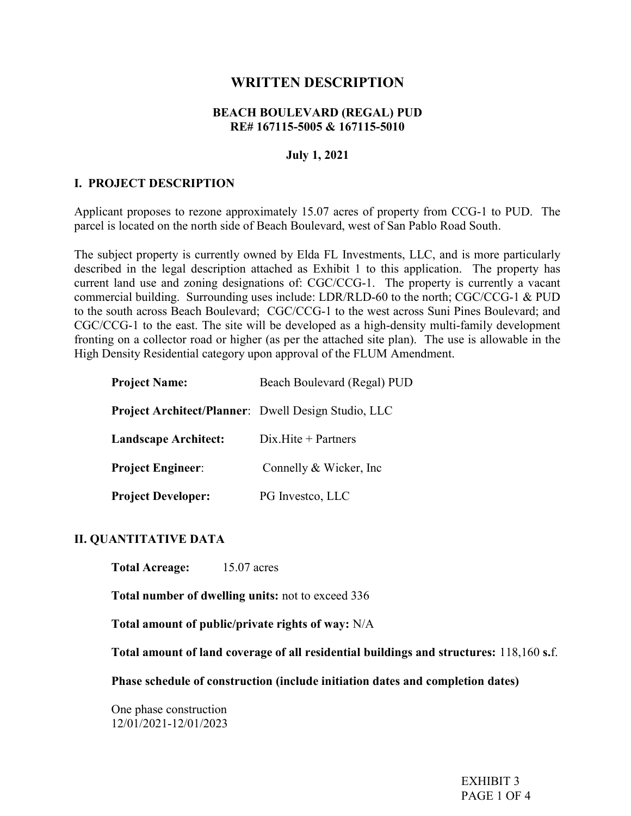# WRITTEN DESCRIPTION

#### BEACH BOULEVARD (REGAL) PUD RE# 167115-5005 & 167115-5010

#### July 1, 2021

#### I. PROJECT DESCRIPTION

Applicant proposes to rezone approximately 15.07 acres of property from CCG-1 to PUD. The parcel is located on the north side of Beach Boulevard, west of San Pablo Road South.

The subject property is currently owned by Elda FL Investments, LLC, and is more particularly described in the legal description attached as Exhibit 1 to this application. The property has current land use and zoning designations of: CGC/CCG-1. The property is currently a vacant commercial building. Surrounding uses include: LDR/RLD-60 to the north; CGC/CCG-1 & PUD to the south across Beach Boulevard; CGC/CCG-1 to the west across Suni Pines Boulevard; and CGC/CCG-1 to the east. The site will be developed as a high-density multi-family development fronting on a collector road or higher (as per the attached site plan). The use is allowable in the High Density Residential category upon approval of the FLUM Amendment.

| <b>Project Name:</b>                                       | Beach Boulevard (Regal) PUD |
|------------------------------------------------------------|-----------------------------|
| <b>Project Architect/Planner:</b> Dwell Design Studio, LLC |                             |
| <b>Landscape Architect:</b>                                | $Dix.Hite + Partners$       |
| <b>Project Engineer:</b>                                   | Connelly & Wicker, Inc.     |
| <b>Project Developer:</b>                                  | PG Investco, LLC            |

#### II. QUANTITATIVE DATA

Total Acreage: 15.07 acres

Total number of dwelling units: not to exceed 336

Total amount of public/private rights of way: N/A

Total amount of land coverage of all residential buildings and structures: 118,160 s.f.

Phase schedule of construction (include initiation dates and completion dates)

One phase construction 12/01/2021-12/01/2023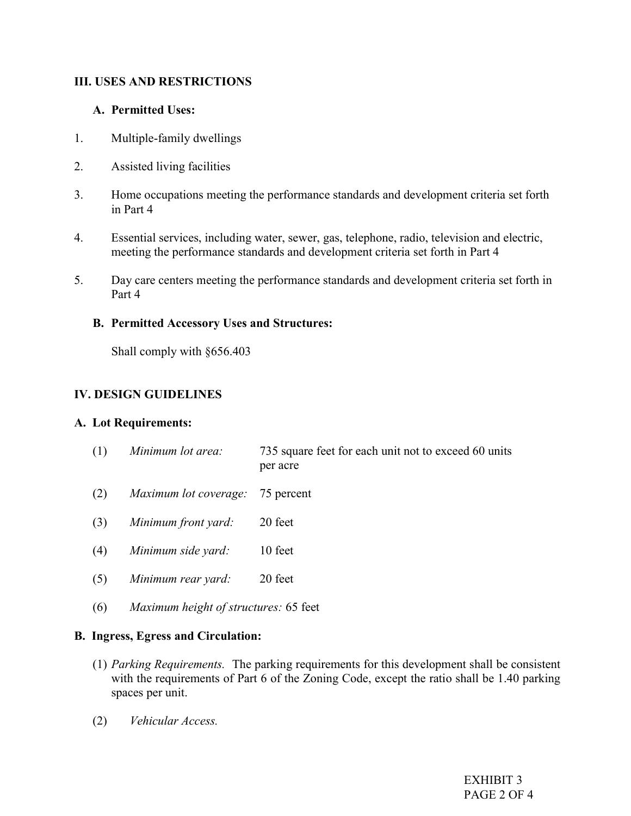## III. USES AND RESTRICTIONS

### A. Permitted Uses:

- 1. Multiple-family dwellings
- 2. Assisted living facilities
- 3. Home occupations meeting the performance standards and development criteria set forth in Part 4
- 4. Essential services, including water, sewer, gas, telephone, radio, television and electric, meeting the performance standards and development criteria set forth in Part 4
- 5. Day care centers meeting the performance standards and development criteria set forth in Part 4

## B. Permitted Accessory Uses and Structures:

Shall comply with §656.403

# IV. DESIGN GUIDELINES

### A. Lot Requirements:

- (1) Minimum lot area: 735 square feet for each unit not to exceed 60 units per acre
- (2) Maximum lot coverage: 75 percent
- (3) Minimum front yard: 20 feet
- (4) Minimum side yard: 10 feet
- (5) Minimum rear yard: 20 feet
- (6) Maximum height of structures: 65 feet

### B. Ingress, Egress and Circulation:

- (1) Parking Requirements. The parking requirements for this development shall be consistent with the requirements of Part 6 of the Zoning Code, except the ratio shall be 1.40 parking spaces per unit.
- (2) Vehicular Access.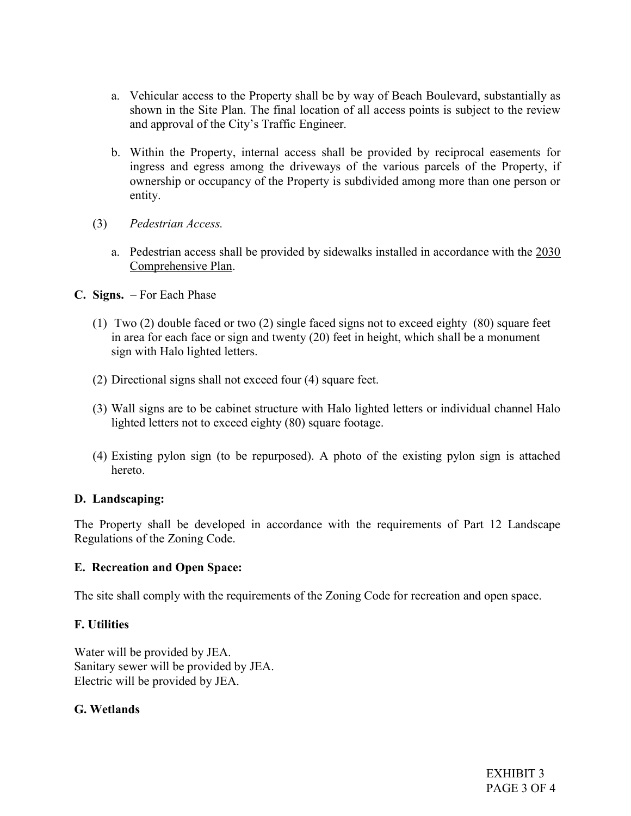- a. Vehicular access to the Property shall be by way of Beach Boulevard, substantially as shown in the Site Plan. The final location of all access points is subject to the review and approval of the City's Traffic Engineer.
- b. Within the Property, internal access shall be provided by reciprocal easements for ingress and egress among the driveways of the various parcels of the Property, if ownership or occupancy of the Property is subdivided among more than one person or entity.
- (3) Pedestrian Access.
	- a. Pedestrian access shall be provided by sidewalks installed in accordance with the 2030 Comprehensive Plan.
- C. Signs. For Each Phase
	- (1) Two (2) double faced or two (2) single faced signs not to exceed eighty (80) square feet in area for each face or sign and twenty (20) feet in height, which shall be a monument sign with Halo lighted letters.
	- (2) Directional signs shall not exceed four (4) square feet.
	- (3) Wall signs are to be cabinet structure with Halo lighted letters or individual channel Halo lighted letters not to exceed eighty (80) square footage.
	- (4) Existing pylon sign (to be repurposed). A photo of the existing pylon sign is attached hereto.

### D. Landscaping:

The Property shall be developed in accordance with the requirements of Part 12 Landscape Regulations of the Zoning Code.

### E. Recreation and Open Space:

The site shall comply with the requirements of the Zoning Code for recreation and open space.

### F. Utilities

Water will be provided by JEA. Sanitary sewer will be provided by JEA. Electric will be provided by JEA.

# G. Wetlands